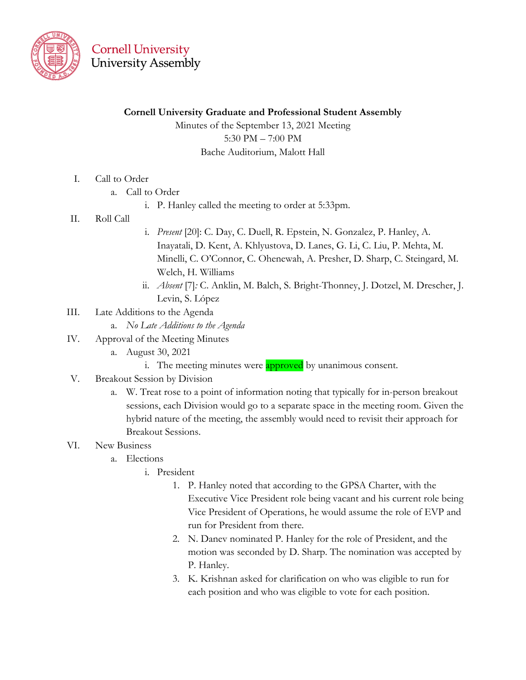

#### **Cornell University Graduate and Professional Student Assembly**

Minutes of the September 13, 2021 Meeting 5:30 PM – 7:00 PM Bache Auditorium, Malott Hall

- I. Call to Order
	- a. Call to Order
		- i. P. Hanley called the meeting to order at 5:33pm.
- II. Roll Call
- i. *Present* [20]: C. Day, C. Duell, R. Epstein, N. Gonzalez, P. Hanley, A. Inayatali, D. Kent, A. Khlyustova, D. Lanes, G. Li, C. Liu, P. Mehta, M. Minelli, C. O'Connor, C. Ohenewah, A. Presher, D. Sharp, C. Steingard, M. Welch, H. Williams
- ii. *Absent* [7]*:* C. Anklin, M. Balch, S. Bright-Thonney, J. Dotzel, M. Drescher, J. Levin, S. López
- III. Late Additions to the Agenda
	- a. *No Late Additions to the Agenda*
- IV. Approval of the Meeting Minutes
	- a. August 30, 2021
		- i. The meeting minutes were **approved** by unanimous consent.
- V. Breakout Session by Division
	- a. W. Treat rose to a point of information noting that typically for in-person breakout sessions, each Division would go to a separate space in the meeting room. Given the hybrid nature of the meeting, the assembly would need to revisit their approach for Breakout Sessions.
- VI. New Business
	- a. Elections
		- i. President
			- 1. P. Hanley noted that according to the GPSA Charter, with the Executive Vice President role being vacant and his current role being Vice President of Operations, he would assume the role of EVP and run for President from there.
			- 2. N. Danev nominated P. Hanley for the role of President, and the motion was seconded by D. Sharp. The nomination was accepted by P. Hanley.
			- 3. K. Krishnan asked for clarification on who was eligible to run for each position and who was eligible to vote for each position.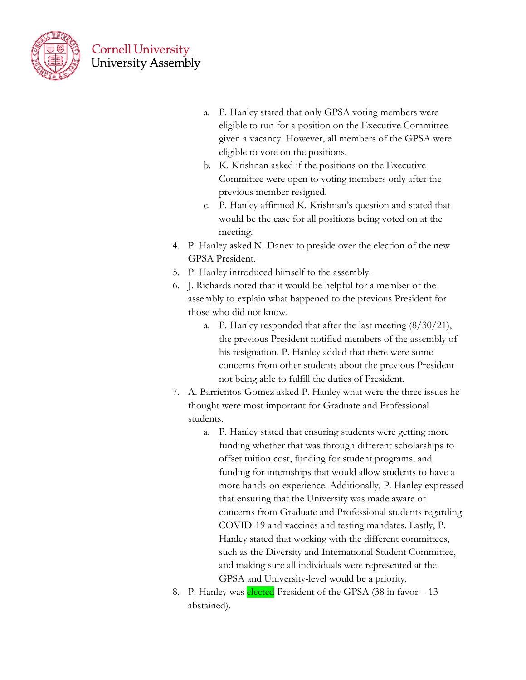

- a. P. Hanley stated that only GPSA voting members were eligible to run for a position on the Executive Committee given a vacancy. However, all members of the GPSA were eligible to vote on the positions.
- b. K. Krishnan asked if the positions on the Executive Committee were open to voting members only after the previous member resigned.
- c. P. Hanley affirmed K. Krishnan's question and stated that would be the case for all positions being voted on at the meeting.
- 4. P. Hanley asked N. Danev to preside over the election of the new GPSA President.
- 5. P. Hanley introduced himself to the assembly.
- 6. J. Richards noted that it would be helpful for a member of the assembly to explain what happened to the previous President for those who did not know.
	- a. P. Hanley responded that after the last meeting (8/30/21), the previous President notified members of the assembly of his resignation. P. Hanley added that there were some concerns from other students about the previous President not being able to fulfill the duties of President.
- 7. A. Barrientos-Gomez asked P. Hanley what were the three issues he thought were most important for Graduate and Professional students.
	- a. P. Hanley stated that ensuring students were getting more funding whether that was through different scholarships to offset tuition cost, funding for student programs, and funding for internships that would allow students to have a more hands-on experience. Additionally, P. Hanley expressed that ensuring that the University was made aware of concerns from Graduate and Professional students regarding COVID-19 and vaccines and testing mandates. Lastly, P. Hanley stated that working with the different committees, such as the Diversity and International Student Committee, and making sure all individuals were represented at the GPSA and University-level would be a priority.
- 8. P. Hanley was elected President of the GPSA (38 in favor 13) abstained).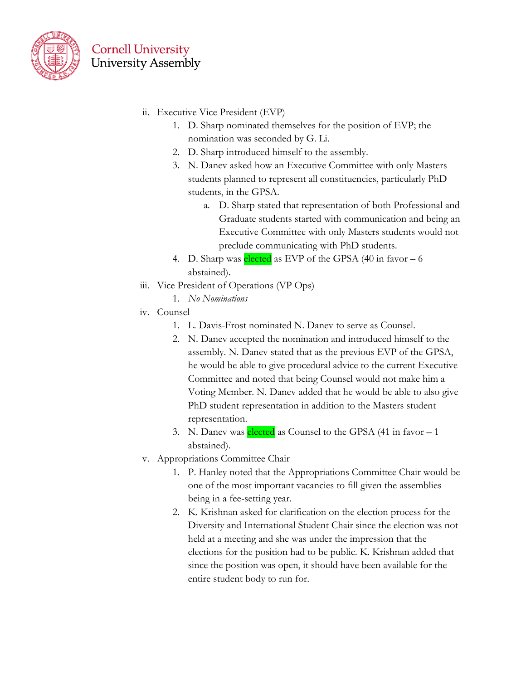

- ii. Executive Vice President (EVP)
	- 1. D. Sharp nominated themselves for the position of EVP; the nomination was seconded by G. Li.
	- 2. D. Sharp introduced himself to the assembly.
	- 3. N. Danev asked how an Executive Committee with only Masters students planned to represent all constituencies, particularly PhD students, in the GPSA.
		- a. D. Sharp stated that representation of both Professional and Graduate students started with communication and being an Executive Committee with only Masters students would not preclude communicating with PhD students.
	- 4. D. Sharp was **elected** as EVP of the GPSA  $(40 \text{ in favor} 6)$ abstained).
- iii. Vice President of Operations (VP Ops)
	- 1. *No Nominations*
- iv. Counsel
	- 1. L. Davis-Frost nominated N. Danev to serve as Counsel.
	- 2. N. Danev accepted the nomination and introduced himself to the assembly. N. Danev stated that as the previous EVP of the GPSA, he would be able to give procedural advice to the current Executive Committee and noted that being Counsel would not make him a Voting Member. N. Danev added that he would be able to also give PhD student representation in addition to the Masters student representation.
	- 3. N. Danev was elected as Counsel to the GPSA (41 in favor 1) abstained).
- v. Appropriations Committee Chair
	- 1. P. Hanley noted that the Appropriations Committee Chair would be one of the most important vacancies to fill given the assemblies being in a fee-setting year.
	- 2. K. Krishnan asked for clarification on the election process for the Diversity and International Student Chair since the election was not held at a meeting and she was under the impression that the elections for the position had to be public. K. Krishnan added that since the position was open, it should have been available for the entire student body to run for.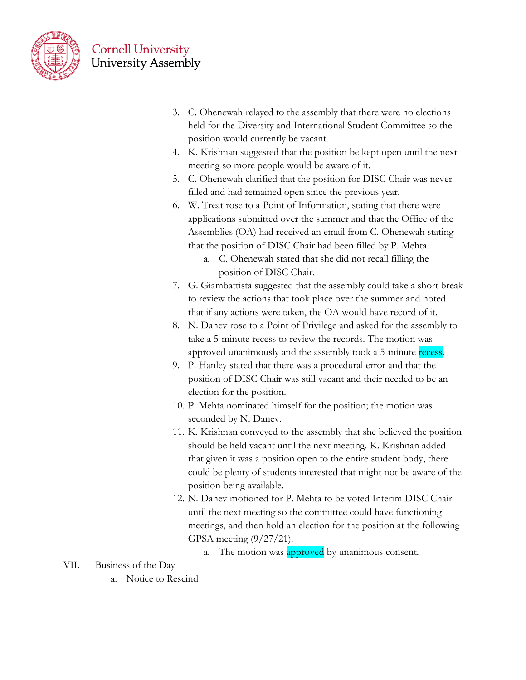

- 3. C. Ohenewah relayed to the assembly that there were no elections held for the Diversity and International Student Committee so the position would currently be vacant.
- 4. K. Krishnan suggested that the position be kept open until the next meeting so more people would be aware of it.
- 5. C. Ohenewah clarified that the position for DISC Chair was never filled and had remained open since the previous year.
- 6. W. Treat rose to a Point of Information, stating that there were applications submitted over the summer and that the Office of the Assemblies (OA) had received an email from C. Ohenewah stating that the position of DISC Chair had been filled by P. Mehta.
	- a. C. Ohenewah stated that she did not recall filling the position of DISC Chair.
- 7. G. Giambattista suggested that the assembly could take a short break to review the actions that took place over the summer and noted that if any actions were taken, the OA would have record of it.
- 8. N. Danev rose to a Point of Privilege and asked for the assembly to take a 5-minute recess to review the records. The motion was approved unanimously and the assembly took a 5-minute recess.
- 9. P. Hanley stated that there was a procedural error and that the position of DISC Chair was still vacant and their needed to be an election for the position.
- 10. P. Mehta nominated himself for the position; the motion was seconded by N. Danev.
- 11. K. Krishnan conveyed to the assembly that she believed the position should be held vacant until the next meeting. K. Krishnan added that given it was a position open to the entire student body, there could be plenty of students interested that might not be aware of the position being available.
- 12. N. Danev motioned for P. Mehta to be voted Interim DISC Chair until the next meeting so the committee could have functioning meetings, and then hold an election for the position at the following GPSA meeting (9/27/21).
	- a. The motion was approved by unanimous consent.

VII. Business of the Day

a. Notice to Rescind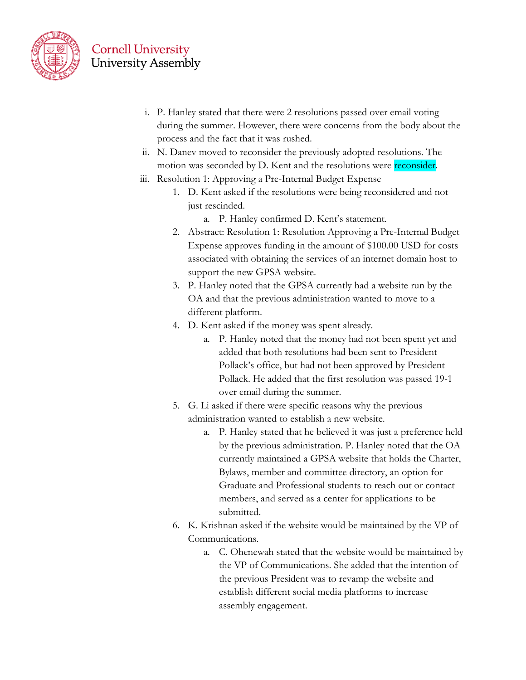

- i. P. Hanley stated that there were 2 resolutions passed over email voting during the summer. However, there were concerns from the body about the process and the fact that it was rushed.
- ii. N. Danev moved to reconsider the previously adopted resolutions. The motion was seconded by D. Kent and the resolutions were reconsider.
- iii. Resolution 1: Approving a Pre-Internal Budget Expense
	- 1. D. Kent asked if the resolutions were being reconsidered and not just rescinded.
		- a. P. Hanley confirmed D. Kent's statement.
	- 2. Abstract: Resolution 1: Resolution Approving a Pre-Internal Budget Expense approves funding in the amount of \$100.00 USD for costs associated with obtaining the services of an internet domain host to support the new GPSA website.
	- 3. P. Hanley noted that the GPSA currently had a website run by the OA and that the previous administration wanted to move to a different platform.
	- 4. D. Kent asked if the money was spent already.
		- a. P. Hanley noted that the money had not been spent yet and added that both resolutions had been sent to President Pollack's office, but had not been approved by President Pollack. He added that the first resolution was passed 19-1 over email during the summer.
	- 5. G. Li asked if there were specific reasons why the previous administration wanted to establish a new website.
		- a. P. Hanley stated that he believed it was just a preference held by the previous administration. P. Hanley noted that the OA currently maintained a GPSA website that holds the Charter, Bylaws, member and committee directory, an option for Graduate and Professional students to reach out or contact members, and served as a center for applications to be submitted.
	- 6. K. Krishnan asked if the website would be maintained by the VP of Communications.
		- a. C. Ohenewah stated that the website would be maintained by the VP of Communications. She added that the intention of the previous President was to revamp the website and establish different social media platforms to increase assembly engagement.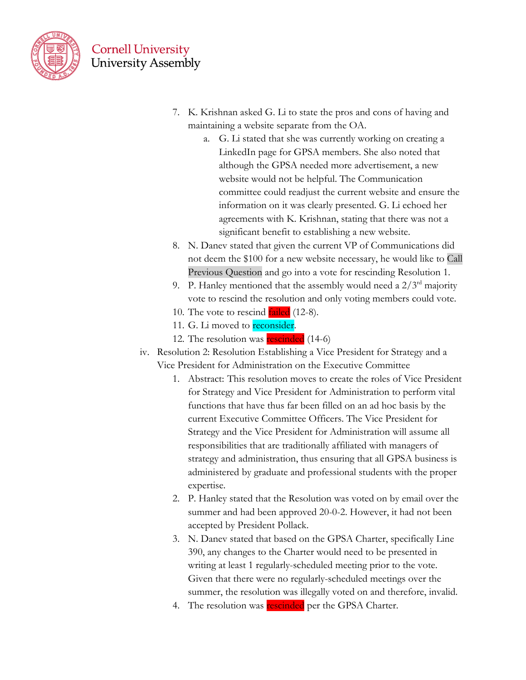

- 7. K. Krishnan asked G. Li to state the pros and cons of having and maintaining a website separate from the OA.
	- a. G. Li stated that she was currently working on creating a LinkedIn page for GPSA members. She also noted that although the GPSA needed more advertisement, a new website would not be helpful. The Communication committee could readjust the current website and ensure the information on it was clearly presented. G. Li echoed her agreements with K. Krishnan, stating that there was not a significant benefit to establishing a new website.
- 8. N. Danev stated that given the current VP of Communications did not deem the \$100 for a new website necessary, he would like to Call Previous Question and go into a vote for rescinding Resolution 1.
- 9. P. Hanley mentioned that the assembly would need a  $2/3<sup>rd</sup>$  majority vote to rescind the resolution and only voting members could vote.
- 10. The vote to rescind **failed** (12-8).
- 11. G. Li moved to **reconsider**.
- 12. The resolution was **rescinded** (14-6)
- iv. Resolution 2: Resolution Establishing a Vice President for Strategy and a Vice President for Administration on the Executive Committee
	- 1. Abstract: This resolution moves to create the roles of Vice President for Strategy and Vice President for Administration to perform vital functions that have thus far been filled on an ad hoc basis by the current Executive Committee Officers. The Vice President for Strategy and the Vice President for Administration will assume all responsibilities that are traditionally affiliated with managers of strategy and administration, thus ensuring that all GPSA business is administered by graduate and professional students with the proper expertise.
	- 2. P. Hanley stated that the Resolution was voted on by email over the summer and had been approved 20-0-2. However, it had not been accepted by President Pollack.
	- 3. N. Danev stated that based on the GPSA Charter, specifically Line 390, any changes to the Charter would need to be presented in writing at least 1 regularly-scheduled meeting prior to the vote. Given that there were no regularly-scheduled meetings over the summer, the resolution was illegally voted on and therefore, invalid.
	- 4. The resolution was rescinded per the GPSA Charter.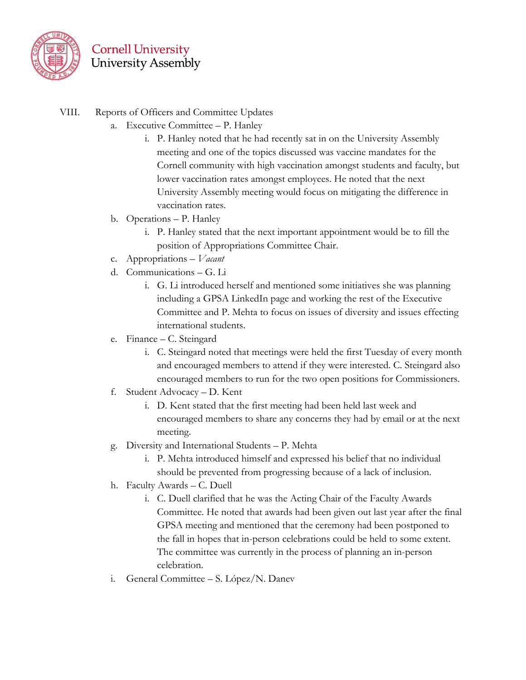

- VIII. Reports of Officers and Committee Updates
	- a. Executive Committee P. Hanley
		- i. P. Hanley noted that he had recently sat in on the University Assembly meeting and one of the topics discussed was vaccine mandates for the Cornell community with high vaccination amongst students and faculty, but lower vaccination rates amongst employees. He noted that the next University Assembly meeting would focus on mitigating the difference in vaccination rates.
	- b. Operations P. Hanley
		- i. P. Hanley stated that the next important appointment would be to fill the position of Appropriations Committee Chair.
	- c. Appropriations *Vacant*
	- d. Communications G. Li
		- i. G. Li introduced herself and mentioned some initiatives she was planning including a GPSA LinkedIn page and working the rest of the Executive Committee and P. Mehta to focus on issues of diversity and issues effecting international students.
	- e. Finance C. Steingard
		- i. C. Steingard noted that meetings were held the first Tuesday of every month and encouraged members to attend if they were interested. C. Steingard also encouraged members to run for the two open positions for Commissioners.
	- f. Student Advocacy D. Kent
		- i. D. Kent stated that the first meeting had been held last week and encouraged members to share any concerns they had by email or at the next meeting.
	- g. Diversity and International Students P. Mehta
		- i. P. Mehta introduced himself and expressed his belief that no individual should be prevented from progressing because of a lack of inclusion.
	- h. Faculty Awards C. Duell
		- i. C. Duell clarified that he was the Acting Chair of the Faculty Awards Committee. He noted that awards had been given out last year after the final GPSA meeting and mentioned that the ceremony had been postponed to the fall in hopes that in-person celebrations could be held to some extent. The committee was currently in the process of planning an in-person celebration.
	- i. General Committee S. López/N. Danev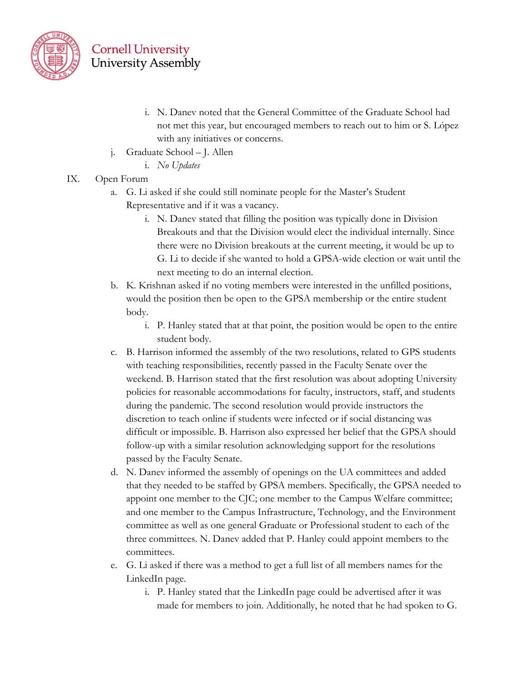

- i. N. Danev noted that the General Committee of the Graduate School had not met this year, but encouraged members to reach out to him or S. López with any initiatives or concerns.
- j. Graduate School J. Allen
	- i. *No Updates*

#### IX. Open Forum

- a. G. Li asked if she could still nominate people for the Master's Student Representative and if it was a vacancy.
	- i. N. Danev stated that filling the position was typically done in Division Breakouts and that the Division would elect the individual internally. Since there were no Division breakouts at the current meeting, it would be up to G. Li to decide if she wanted to hold a GPSA-wide election or wait until the next meeting to do an internal election.
- b. K. Krishnan asked if no voting members were interested in the unfilled positions, would the position then be open to the GPSA membership or the entire student body.
	- i. P. Hanley stated that at that point, the position would be open to the entire student body.
- c. B. Harrison informed the assembly of the two resolutions, related to GPS students with teaching responsibilities, recently passed in the Faculty Senate over the weekend. B. Harrison stated that the first resolution was about adopting University policies for reasonable accommodations for faculty, instructors, staff, and students during the pandemic. The second resolution would provide instructors the discretion to teach online if students were infected or if social distancing was difficult or impossible. B. Harrison also expressed her belief that the GPSA should follow-up with a similar resolution acknowledging support for the resolutions passed by the Faculty Senate.
- d. N. Danev informed the assembly of openings on the UA committees and added that they needed to be staffed by GPSA members. Specifically, the GPSA needed to appoint one member to the CJC; one member to the Campus Welfare committee; and one member to the Campus Infrastructure, Technology, and the Environment committee as well as one general Graduate or Professional student to each of the three committees. N. Danev added that P. Hanley could appoint members to the committees.
- e. G. Li asked if there was a method to get a full list of all members names for the LinkedIn page.
	- i. P. Hanley stated that the LinkedIn page could be advertised after it was made for members to join. Additionally, he noted that he had spoken to G.